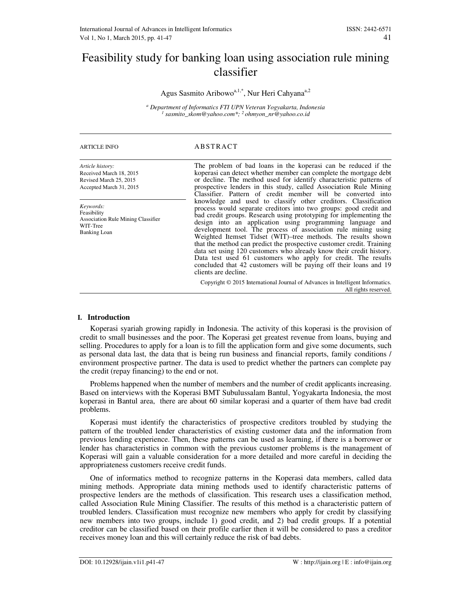# Feasibility study for banking loan using association rule mining classifier

Agus Sasmito Aribowo<sup>a, 1,\*</sup>, Nur Heri Cahyana<sup>a,2</sup>

*a Department of Informatics FTI UPN Veteran Yogyakarta, Indonesia 1 sasmito\_skom@yahoo.com\*; <sup>2</sup>ohmyon\_nr@yahoo.co.id*

| <b>ARTICLE INFO</b>                                                                                      | ABSTRACT                                                                                                                                                                                                                                                                                                                                                                                                                                                                                                                                                                                                                                                                                                                |
|----------------------------------------------------------------------------------------------------------|-------------------------------------------------------------------------------------------------------------------------------------------------------------------------------------------------------------------------------------------------------------------------------------------------------------------------------------------------------------------------------------------------------------------------------------------------------------------------------------------------------------------------------------------------------------------------------------------------------------------------------------------------------------------------------------------------------------------------|
| Article history:<br>Received March 18, 2015<br>Revised March 25, 2015<br>Accepted March 31, 2015         | The problem of bad loans in the koperasi can be reduced if the<br>koperasi can detect whether member can complete the mortgage debt<br>or decline. The method used for identify characteristic patterns of<br>prospective lenders in this study, called Association Rule Mining<br>Classifier. Pattern of credit member will be converted into                                                                                                                                                                                                                                                                                                                                                                          |
| Keywords:<br>Feasibility<br><b>Association Rule Mining Classifier</b><br>WIT-Tree<br><b>Banking Loan</b> | knowledge and used to classify other creditors. Classification<br>process would separate creditors into two groups: good credit and<br>bad credit groups. Research using prototyping for implementing the<br>design into an application using programming language and<br>development tool. The process of association rule mining using<br>Weighted Itemset Tidset (WIT)-tree methods. The results shown<br>that the method can predict the prospective customer credit. Training<br>data set using 120 customers who already know their credit history.<br>Data test used 61 customers who apply for credit. The results<br>concluded that 42 customers will be paying off their loans and 19<br>clients are decline. |
|                                                                                                          | Copyright $\odot$ 2015 International Journal of Advances in Intelligent Informatics.<br>All rights reserved.                                                                                                                                                                                                                                                                                                                                                                                                                                                                                                                                                                                                            |

# **I. Introduction**

Koperasi syariah growing rapidly in Indonesia. The activity of this koperasi is the provision of credit to small businesses and the poor. The Koperasi get greatest revenue from loans, buying and selling. Procedures to apply for a loan is to fill the application form and give some documents, such as personal data last, the data that is being run business and financial reports, family conditions / environment prospective partner. The data is used to predict whether the partners can complete pay the credit (repay financing) to the end or not.

Problems happened when the number of members and the number of credit applicants increasing. Based on interviews with the Koperasi BMT Subulussalam Bantul, Yogyakarta Indonesia, the most koperasi in Bantul area, there are about 60 similar koperasi and a quarter of them have bad credit problems.

Koperasi must identify the characteristics of prospective creditors troubled by studying the pattern of the troubled lender characteristics of existing customer data and the information from previous lending experience. Then, these patterns can be used as learning, if there is a borrower or lender has characteristics in common with the previous customer problems is the management of Koperasi will gain a valuable consideration for a more detailed and more careful in deciding the appropriateness customers receive credit funds.

One of informatics method to recognize patterns in the Koperasi data members, called data mining methods. Appropriate data mining methods used to identify characteristic patterns of prospective lenders are the methods of classification. This research uses a classification method, called Association Rule Mining Classifier. The results of this method is a characteristic pattern of troubled lenders. Classification must recognize new members who apply for credit by classifying new members into two groups, include 1) good credit, and 2) bad credit groups. If a potential creditor can be classified based on their profile earlier then it will be considered to pass a creditor receives money loan and this will certainly reduce the risk of bad debts.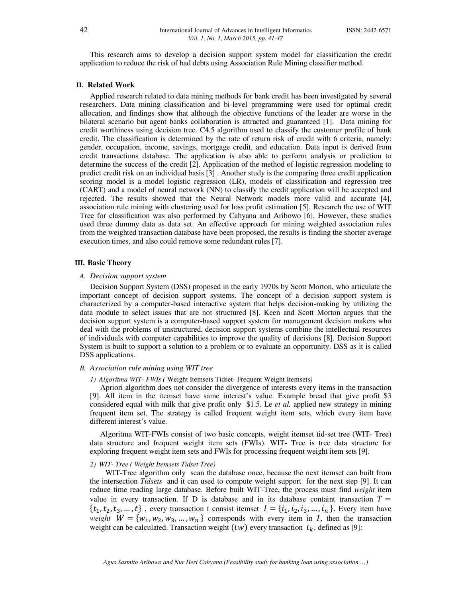This research aims to develop a decision support system model for classification the credit application to reduce the risk of bad debts using Association Rule Mining classifier method.

## **II. Related Work**

Applied research related to data mining methods for bank credit has been investigated by several researchers. Data mining classification and bi-level programming were used for optimal credit allocation, and findings show that although the objective functions of the leader are worse in the bilateral scenario but agent banks collaboration is attracted and guaranteed [1]. Data mining for credit worthiness using decision tree. C4.5 algorithm used to classify the customer profile of bank credit. The classification is determined by the rate of return risk of credit with 6 criteria, namely: gender, occupation, income, savings, mortgage credit, and education. Data input is derived from credit transactions database. The application is also able to perform analysis or prediction to determine the success of the credit [2]. Application of the method of logistic regression modeling to predict credit risk on an individual basis [3] . Another study is the comparing three credit application scoring model is a model logistic regression (LR), models of classification and regression tree (CART) and a model of neural network (NN) to classify the credit application will be accepted and rejected. The results showed that the Neural Network models more valid and accurate [4], association rule mining with clustering used for loss profit estimation [5]. Research the use of WIT Tree for classification was also performed by Cahyana and Aribowo [6]. However, these studies used three dummy data as data set. An effective approach for mining weighted association rules from the weighted transaction database have been proposed, the results is finding the shorter average execution times, and also could remove some redundant rules [7].

## **III. Basic Theory**

#### *A. Decision support system*

Decision Support System (DSS) proposed in the early 1970s by Scott Morton, who articulate the important concept of decision support systems. The concept of a decision support system is characterized by a computer-based interactive system that helps decision-making by utilizing the data module to select issues that are not structured [8]. Keen and Scott Morton argues that the decision support system is a computer-based support system for management decision makers who deal with the problems of unstructured, decision support systems combine the intellectual resources of individuals with computer capabilities to improve the quality of decisions [8]. Decision Support System is built to support a solution to a problem or to evaluate an opportunity. DSS as it is called DSS applications.

# *B. Association rule mining using WIT tree*

## *1) Algoritma WIT- FWIs (* Weight Itemsets Tidset- Frequent Weight Itemsets*)*

Apriori algorithm does not consider the divergence of interests every items in the transaction [9]. All item in the itemset have same interest's value. Example bread that give profit \$3 considered equal with milk that give profit only \$1.5. Le *et al.* applied new strategy in mining frequent item set. The strategy is called frequent weight item sets, which every item have different interest's value.

Algoritma WIT-FWIs consist of two basic concepts, weight itemset tid-set tree (WIT- Tree) data structure and frequent weight item sets (FWIs). WIT- Tree is tree data structure for exploring frequent weight item sets and FWIs for processing frequent weight item sets [9].

#### *2) WIT- Tree ( Weight Itemsets Tidset Tree)*

WIT-Tree algorithm only scan the database once, because the next itemset can built from the intersection *Tidsets* and it can used to compute weight support for the next step [9]. It can reduce time reading large database. Before built WIT-Tree, the process must find *weight* item value in every transaction. If D is database and in its database containt transaction  $T =$  $\{t_1, t_2, t_3, ..., t\}$ , every transaction t consist itemset  $I = \{i_1, i_2, i_3, ..., i_n\}$ . Every item have *weight*  $W = \{w_1, w_2, w_3, ..., w_n\}$  corresponds with every item in *I*, then the transaction weight can be calculated. Transaction weight (tw) every transaction  $t_k$ , defined as [9]: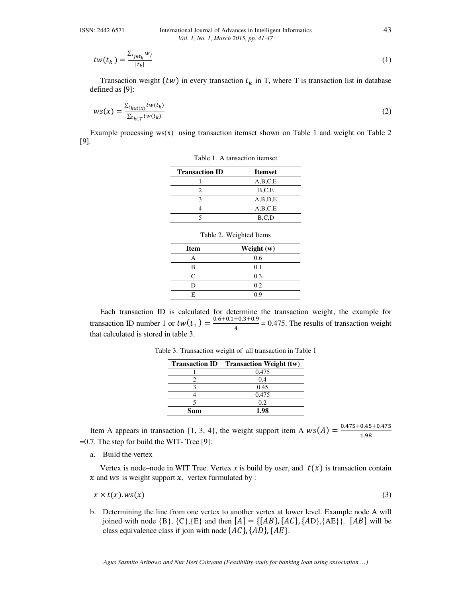$$
tw(t_k) = \frac{\sum_{i_{j \in t_k}} w_j}{|t_k|} \tag{1}
$$

Transaction weight (tw) in every transaction  $t_k$  in T, where T is transaction list in database defined as [9]:

$$
ws(x) = \frac{\sum_{t_{k \in t(x)}} tw(t_k)}{\sum_{t_k \in T} tw(t_k)}
$$
(2)

Example processing ws(x) using transaction itemset shown on Table 1 and weight on Table 2 [9].

Table 1. A tansaction itemset

| <b>Transaction ID</b> | <b>Itemset</b> |
|-----------------------|----------------|
|                       | A,B,C,E        |
|                       | B.C.E          |
|                       | A,B,D,E        |
|                       | A,B,C,E        |
|                       | B,C,D          |
|                       |                |

| <b>Item</b>       | Weight (w) |  |
|-------------------|------------|--|
| Α                 | 0.6        |  |
| в                 | 0.1        |  |
| $\mathsf{\Gamma}$ | 0.3        |  |
| D                 | 0.2        |  |
| E                 | 0.9        |  |
|                   |            |  |

Table 2. Weighted Items

Each transaction ID is calculated for determine the transaction weight, the example for transaction ID number 1 or  $tw(t_1) = \frac{0.6 + 0.1 + 0.3 + 0.9}{4}$  $\frac{1}{4}$  = 0.475. The results of transaction weight that calculated is stored in table 3.

|     | <b>Transaction ID</b> Transaction Weight (tw) |
|-----|-----------------------------------------------|
|     | 0.475                                         |
|     | 0.4                                           |
|     | 0.45                                          |
|     | 0.475                                         |
|     | 0.2                                           |
| Տոտ | 1.98                                          |

Table 3. Transaction weight of all transaction in Table 1

Item A appears in transaction {1, 3, 4}, the weight support item A  $ws(A) = \frac{0.475 + 0.45 + 0.475}{1.08}$ 1.98 =0.7. The step for build the WIT- Tree [9]:

a. Build the vertex

Vertex is node–node in WIT Tree. Vertex x is build by user, and  $t(x)$  is transaction contain  $x$  and  $ws$  is weight support  $x$ , vertex furmulated by :

$$
x \times t(x) \cdot ws(x) \tag{3}
$$

b. Determining the line from one vertex to another vertex at lower level. Example node A will joined with node  $\{B\}$ ,  $\{C\}$ , $\{E\}$  and then  $[A] = \{\{AB\}, \{AC\}, \{AD\}, \{AE\}\}\$ .  $[AB]$  will be class equivalence class if join with node  $\{AC\}$ ,  $\{AD\}$ ,  $\{AE\}$ .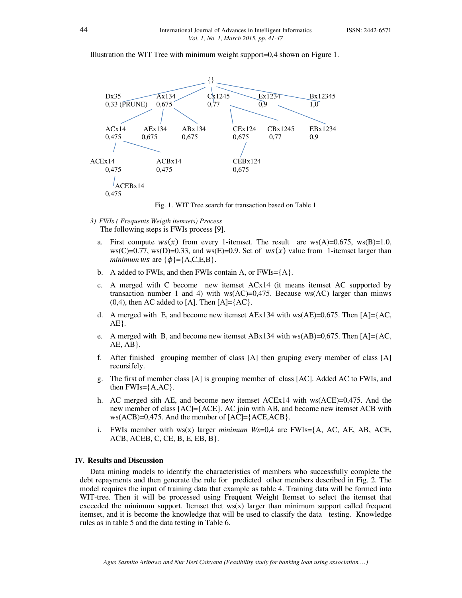Illustration the WIT Tree with minimum weight support=0,4 shown on Figure 1.



Fig. 1. WIT Tree search for transaction based on Table 1

*3) FWIs ( Frequents Weigth itemsets) Process* 

The following steps is FWIs process [9].

- a. First compute  $ws(x)$  from every 1-itemset. The result are ws(A)=0.675, ws(B)=1.0,  $ws(C)=0.77$ ,  $ws(D)=0.33$ , and  $ws(E)=0.9$ . Set of  $ws(x)$  value from 1-itemset larger than *minimum* ws are  $\{\phi\} = \{A, C, E, B\}.$
- b. A added to FWIs, and then FWIs contain A, or FWIs={A}.
- c. A merged with C become new itemset  $ACx14$  (it means itemset AC supported by transaction number 1 and 4) with ws(AC)=0,475. Because ws(AC) larger than minws  $(0,4)$ , then AC added to [A]. Then [A]= ${AC}$ .
- d. A merged with E, and become new itemset  $AEx134$  with ws( $AE$ )=0,675. Then [A]={AC,  $AE$ .
- e. A merged with B, and become new itemset ABx134 with ws(AB)=0,675. Then [A]={AC,  $AE, AB$ .
- f. After finished grouping member of class [A] then gruping every member of class [A] recursifely.
- g. The first of member class [A] is grouping member of class [AC]. Added AC to FWIs, and then  $FWIs = \{A, AC\}$ .
- h. AC merged sith AE, and become new itemset ACEx14 with ws(ACE)=0,475. And the new member of class [AC]={ACE}. AC join with AB, and become new itemset ACB with  $ws(ACB)=0,475.$  And the member of  $[AC]={ACE,ACB}$ .
- i. FWIs member with ws(x) larger *minimum Ws*=0,4 are FWIs={A, AC, AE, AB, ACE,  $ACB$ ,  $ACEB$ ,  $C$ ,  $CE$ ,  $B$ ,  $E$ ,  $EB$ ,  $B$  }.

#### **IV. Results and Discussion**

Data mining models to identify the characteristics of members who successfully complete the debt repayments and then generate the rule for predicted other members described in Fig. 2. The model requires the input of training data that example as table 4. Training data will be formed into WIT-tree. Then it will be processed using Frequent Weight Itemset to select the itemset that exceeded the minimum support. Itemset thet  $w(s(x))$  larger than minimum support called frequent itemset, and it is become the knowledge that will be used to classify the data testing. Knowledge rules as in table 5 and the data testing in Table 6.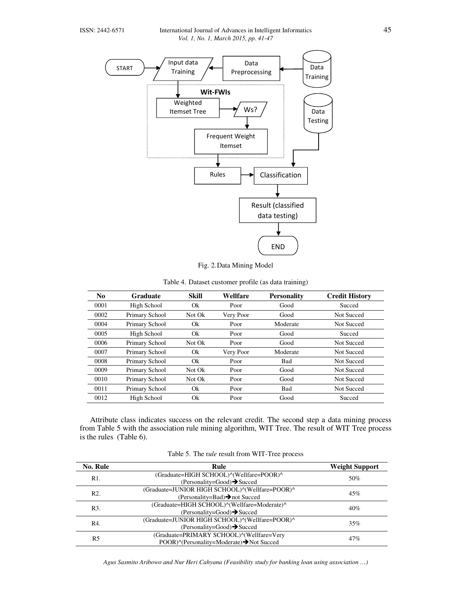

Fig. 2.Data Mining Model

| N <sub>0</sub> | <b>Graduate</b> | <b>Skill</b> | Wellfare  | <b>Personality</b> | <b>Credit History</b> |
|----------------|-----------------|--------------|-----------|--------------------|-----------------------|
| 0001           | High School     | Ok           | Poor      | Good               | Succed                |
| 0002           | Primary School  | Not Ok       | Very Poor | Good               | <b>Not Succed</b>     |
| 0004           | Primary School  | Ok           | Poor      | Moderate           | <b>Not Succed</b>     |
| 0005           | High School     | Ok           | Poor      | Good               | Succed                |
| 0006           | Primary School  | Not Ok       | Poor      | Good               | <b>Not Succed</b>     |
| 0007           | Primary School  | Ok           | Very Poor | Moderate           | <b>Not Succed</b>     |
| 0008           | Primary School  | Ok           | Poor      | Bad                | <b>Not Succed</b>     |
| 0009           | Primary School  | Not Ok       | Poor      | Good               | Not Succed            |
| 0010           | Primary School  | Not Ok       | Poor      | Good               | <b>Not Succed</b>     |
| 0011           | Primary School  | Ok           | Poor      | Bad                | <b>Not Succed</b>     |
| 0012           | High School     | Ok           | Poor      | Good               | Succed                |

Table 4. Dataset customer profile (as data training)

Attribute class indicates success on the relevant credit. The second step a data mining process from Table 5 with the association rule mining algorithm, WIT Tree. The result of WIT Tree process is the rules (Table 6).

| <b>No. Rule</b>  | Rule                                           | <b>Weight Support</b> |  |
|------------------|------------------------------------------------|-----------------------|--|
| R <sub>1</sub> . | (Graduate=HIGH SCHOOL)^(Wellfare=POOR)^        | 50%                   |  |
|                  | (Personality=Good) $\rightarrow$ Succed        |                       |  |
| R <sub>2</sub> . | (Graduate=JUNIOR HIGH SCHOOL)^(Wellfare=POOR)^ | 45%                   |  |
|                  | (Personality=Bad) $\rightarrow$ not Succed     |                       |  |
| R <sub>3</sub> . | (Graduate=HIGH SCHOOL)^(Wellfare=Moderate)^    | 40%                   |  |
|                  | $(Personality = Good) \rightarrow Succeed$     |                       |  |
| R4.              | (Graduate=JUNIOR HIGH SCHOOL)^(Wellfare=POOR)^ | 35%                   |  |
|                  | $(Personality = Good) \rightarrow Succeed$     |                       |  |
| R5               | (Graduate=PRIMARY SCHOOL)^(Wellfare=Very       | 47%                   |  |
|                  | POOR)^(Personality=Moderate)→Not Succed        |                       |  |

Table 5. The r*ule* result from WIT-Tree process

*Agus Sasmito Aribowo and Nur Heri Cahyana (Feasibility study for banking loan using association …)*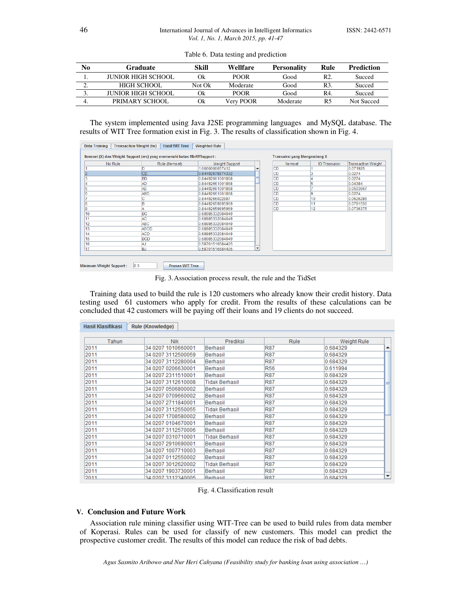| No       | Graduate              | Skill  | Wellfare    | <b>Personality</b> | Rule           | <b>Prediction</b> |
|----------|-----------------------|--------|-------------|--------------------|----------------|-------------------|
|          | JUNIOR HIGH SCHOOL    | Оk     | <b>POOR</b> | Good               | R <sub>2</sub> | Succed            |
| <u>.</u> | HIGH SCHOOL           | Not Ok | Moderate    | Good               | R3.            | Succed            |
|          | JUNIOR HIGH SCHOOL    | Оk     | <b>POOR</b> | Good               | R4.            | Succed            |
| 4.       | <b>PRIMARY SCHOOL</b> | Оk     | Very POOR   | Moderate           | R5             | Not Succed        |

Table 6. Data testing and prediction

The system implemented using Java J2SE programming languages and MySQL database. The results of WIT Tree formation exist in Fig. 3. The results of classification shown in Fig. 4.

| No Rule | Rule (Itemset) | <b>Weight Support</b> |   | Itemset   | <b>ID Transaksi</b> | Transaction Weight |
|---------|----------------|-----------------------|---|-----------|---------------------|--------------------|
|         | ID             | 1.0000000057412       |   | ICD       |                     | 0.071925           |
|         | <b>CD</b>      | 0.84492678874332      |   | ICD       |                     | 0.0274             |
|         | <b>BD</b>      | 0.84492661001868      |   | ICD       |                     | 0.0274             |
|         | AD             | 0.84492661001868      |   | ICD       | 5                   | 0.04384            |
|         | AB             | 0.84492661001868      |   | ICD       |                     | 0.0593667          |
|         | <b>ABD</b>     | 0.84492661001868      |   | ICD       | g                   | 0.0274             |
|         | $\sim$         | 0.8449266022887       |   | ICD       | 10                  | 0.0626286          |
|         | <b>B</b>       | 0.84492659895969      |   | ICD       | 11                  | 0.0791556          |
|         |                | 0.84492659895969      |   | <b>CD</b> | 12                  | 0.0736375          |
|         | <b>BC</b>      | 0.68985332084049      |   |           |                     |                    |
|         | <b>AC</b>      | 0.68985332084049      |   |           |                     |                    |
|         | <b>ABC</b>     | 0.68985332084049      |   |           |                     |                    |
|         | <b>ABCD</b>    | 0.68985332084049      |   |           |                     |                    |
|         | <b>ACD</b>     | 0.68985332084049      |   |           |                     |                    |
|         | <b>BCD</b>     | 0.68985332084049      |   |           |                     |                    |
|         | <b>AJ</b>      | 0.58701516584405      |   |           |                     |                    |
|         | <b>BJ</b>      | 0.58701516584405      | ٠ |           |                     |                    |

Fig. 3.Association process result, the rule and the TidSet

Training data used to build the rule is 120 customers who already know their credit history. Data testing used 61 customers who apply for credit. From the results of these calculations can be concluded that 42 customers will be paying off their loans and 19 clients do not succeed.

| Hasil Klasifikasi | <b>Rule (Knowledge)</b> |                       |            |               |
|-------------------|-------------------------|-----------------------|------------|---------------|
|                   |                         |                       |            |               |
| Tahun             | <b>Nik</b>              | Prediksi              | Rule       | Weight Rule   |
| 2011              | 34 0207 1010660001      | Berhasil              | <b>R87</b> | 0.684329      |
| 2011              | 34 0207 3112500059      | Berhasil              | <b>R87</b> | 0.684329      |
| 2011              | 34 0207 3112280004      | Berhasil              | <b>R87</b> | 0.684329      |
| 2011              | 34 0207 0206630001      | Berhasil              | <b>R56</b> | 0.611994      |
| 2011              | 34 0207 2311510001      | Berhasil              | <b>R87</b> | 0.684329      |
| 2011              | 34 0207 3112610008      | <b>Tidak Berhasil</b> | <b>R87</b> | 0.684329      |
| 2011              | 34 0207 0506800002      | Berhasil              | <b>R87</b> | 0.684329      |
| 2011              | 34 0207 0709660002      | Berhasil              | <b>R87</b> | 0.684329      |
| 2011              | 34 0207 2711840001      | Berhasil              | <b>R87</b> | 0.684329      |
| 2011              | 34 0207 3112550055      | <b>Tidak Berhasil</b> | <b>R87</b> | 0.684329      |
| 2011              | 34 0207 1708580002      | Berhasil              | <b>R87</b> | 0.684329      |
| 2011              | 34 0207 0104670001      | Berhasil              | <b>R87</b> | 0.684329      |
| 2011              | 34 0207 3112570006      | Berhasil              | <b>R87</b> | 0.684329      |
| 2011              | 34 0207 0310710001      | Tidak Berhasil        | <b>R87</b> | 0.684329      |
| 2011              | 34 0207 2910690001      | Berhasil              | <b>R87</b> | 0.684329      |
| 2011              | 34 0207 1007710003      | Berhasil              | <b>R87</b> | 0.684329      |
| 2011              | 34 0207 0112550002      | Berhasil              | <b>R87</b> | 0.684329      |
| 2011              | 34 0207 3012620002      | Tidak Berhasil        | <b>R87</b> | 0.684329      |
| 2011              | 34 0207 1903730001      | Berhasil              | <b>R87</b> | 0.684329      |
| 2011              | 34 0207 3112340005      | Rerhasil              | <b>R87</b> | ۰<br>0.684329 |

Fig. 4.Classification result

# **V. Conclusion and Future Work**

Association rule mining classifier using WIT-Tree can be used to build rules from data member of Koperasi. Rules can be used for classify of new customers. This model can predict the prospective customer credit. The results of this model can reduce the risk of bad debts.